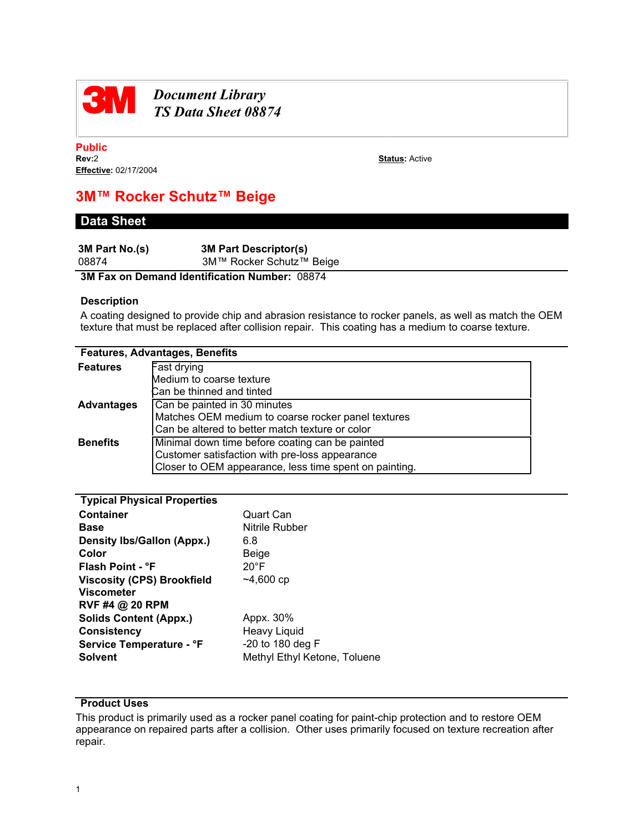

# *Document Library TS Data Sheet 08874*

**Public Effective:** 02/17/2004

**Status: Active** 

# **3M™ Rocker Schutz™ Beige**

### **Data Sheet**

| 3M Part No.(s) | <b>3M Part Descriptor(s)</b> |
|----------------|------------------------------|
| 08874          | 3M™ Rocker Schutz™ Beige     |

**3M Fax on Demand Identification Number:** 08874

### **Description**

A coating designed to provide chip and abrasion resistance to rocker panels, as well as match the OEM texture that must be replaced after collision repair. This coating has a medium to coarse texture.

| <b>Features, Advantages, Benefits</b> |                                                        |
|---------------------------------------|--------------------------------------------------------|
| <b>Features</b>                       | Fast drying                                            |
|                                       | Medium to coarse texture                               |
|                                       | Can be thinned and tinted                              |
| <b>Advantages</b>                     | Can be painted in 30 minutes                           |
|                                       | Matches OEM medium to coarse rocker panel textures     |
|                                       | Can be altered to better match texture or color        |
| <b>Benefits</b>                       | Minimal down time before coating can be painted        |
|                                       | Customer satisfaction with pre-loss appearance         |
|                                       | Closer to OEM appearance, less time spent on painting. |

| Quart Can                    |
|------------------------------|
| Nitrile Rubber               |
| 6.8                          |
| Beige                        |
| $20^{\circ}$ F               |
| $~1,600$ cp                  |
|                              |
|                              |
| Appx. 30%                    |
| <b>Heavy Liquid</b>          |
| $-20$ to 180 deg F           |
| Methyl Ethyl Ketone, Toluene |
|                              |

#### **Product Uses**

This product is primarily used as a rocker panel coating for paint-chip protection and to restore OEM appearance on repaired parts after a collision. Other uses primarily focused on texture recreation after repair.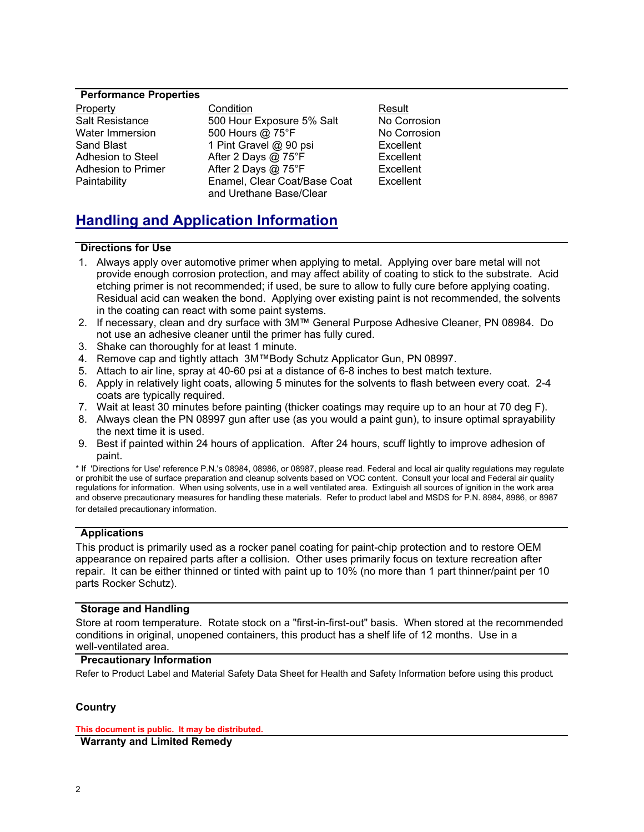#### **Performance Properties**

Property **Condition**<br>
Salt Resistance **Condition** Exposure 5% Salt **No Corrosion** 500 Hour Exposure 5% Salt Water Immersion 500 Hours @ 75°F No Corrosion Sand Blast 1 Pint Gravel @ 90 psi Excellent Adhesion to Steel **After 2 Days @ 75°F** Excellent Adhesion to Primer **After 2 Days @ 75°F** Excellent Paintability Enamel, Clear Coat/Base Coat Excellent and Urethane Base/Clear

# **Handling and Application Information**

#### **Directions for Use**

- 1. Always apply over automotive primer when applying to metal. Applying over bare metal will not provide enough corrosion protection, and may affect ability of coating to stick to the substrate. Acid etching primer is not recommended; if used, be sure to allow to fully cure before applying coating. Residual acid can weaken the bond. Applying over existing paint is not recommended, the solvents in the coating can react with some paint systems.
- 2. If necessary, clean and dry surface with 3M™ General Purpose Adhesive Cleaner, PN 08984. Do not use an adhesive cleaner until the primer has fully cured.
- 3. Shake can thoroughly for at least 1 minute.
- 4. Remove cap and tightly attach 3M™Body Schutz Applicator Gun, PN 08997.
- 5. Attach to air line, spray at 40-60 psi at a distance of 6-8 inches to best match texture.
- 6. Apply in relatively light coats, allowing 5 minutes for the solvents to flash between every coat. 2-4 coats are typically required.
- 7. Wait at least 30 minutes before painting (thicker coatings may require up to an hour at 70 deg F).
- 8. Always clean the PN 08997 gun after use (as you would a paint gun), to insure optimal sprayability the next time it is used.
- 9. Best if painted within 24 hours of application. After 24 hours, scuff lightly to improve adhesion of paint.

\* If 'Directions for Use' reference P.N.'s 08984, 08986, or 08987, please read. Federal and local air quality regulations may regulate or prohibit the use of surface preparation and cleanup solvents based on VOC content. Consult your local and Federal air quality regulations for information. When using solvents, use in a well ventilated area. Extinguish all sources of ignition in the work area and observe precautionary measures for handling these materials. Refer to product label and MSDS for P.N. 8984, 8986, or 8987 for detailed precautionary information.

### **Applications**

This product is primarily used as a rocker panel coating for paint-chip protection and to restore OEM appearance on repaired parts after a collision. Other uses primarily focus on texture recreation after repair. It can be either thinned or tinted with paint up to 10% (no more than 1 part thinner/paint per 10 parts Rocker Schutz).

#### **Storage and Handling**

Store at room temperature. Rotate stock on a "first-in-first-out" basis. When stored at the recommended conditions in original, unopened containers, this product has a shelf life of 12 months. Use in a well-ventilated area.

#### **Precautionary Information**

Refer to Product Label and Material Safety Data Sheet for Health and Safety Information before using this product.

### **Country**

**This document is public. It may be distributed.**

**Warranty and Limited Remedy**